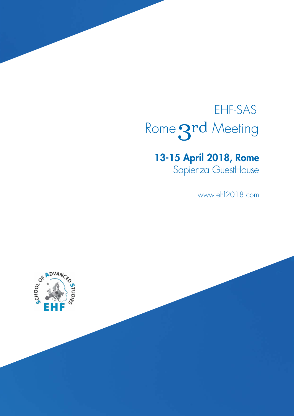# EHF-SAS Rome 3rd Meeting

# 13-15 April 2018, Rome

Sapienza GuestHouse

www.ehf2018.com

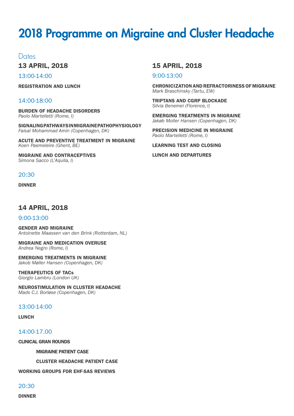# 2018 Programme on Migraine and Cluster Headache

Dates

13 APRIL, 2018

13:00-14:00

REGISTRATION AND LUNCH

### 14:00-18:00

BURDEN OF HEADACHE DISORDERS *Paolo Martelletti (Rome, I)*

SIGNALING PATHWAYS IN MIGRAINE PATHOPHYSIOLOGY *Faisal Mohammad Amin (Copenhagen, DK)*

ACUTE AND PREVENTIVE TREATMENT IN MIGRAINE *Koen Paemeleire (Ghent, BE)*

MIGRAINE AND CONTRACEPTIVES *Simona Sacco (L'Aquila, I)*

### 20:30

DINNER

# 14 APRIL, 2018

#### 9:00-13:00

GENDER AND MIGRAINE *Antoinette Maassen van den Brink (Rotterdam, NL)*

MIGRAINE AND MEDICATION OVERUSE *Andrea Negro (Rome, I)*

EMERGING TREATMENTS IN MIGRAINE *Jakob Møller Hansen (Copenhagen, DK)*

#### THERAPEUTICS OF TACs

*Giorgio Lambru (London UK)*

NEUROSTIMULATION IN CLUSTER HEADACHE *Mads C.J. Borløse (Copenhagen, DK)*

#### 13:00-14:00

LUNCH

14:00-17.00

CLINICAL GRAN ROUNDS

MIGRAINE PATIENT CASE

CLUSTER HEADACHE PATIENT CASE

WORKING GROUPS FOR EHF-SAS REVIEWS

20:30

DINNER

# 15 APRIL, 2018

9:00-13:00

CHRONICIZATION AND REFRACTORINESS OF MIGRAINE *Mark Braschinsky (Tartu, EW)*

TRIPTANS AND CGRP BLOCKADE *Silvia Benemei (Florence, I)*

EMERGING TREATMENTS IN MIGRAINE *Jakøb Moller Hansen (Copenhagen, DK)*

PRECISION MEDICINE IN MIGRAINE *Paolo Martelletti (Rome, I)*

LEARNING TEST AND CLOSING

LUNCH AND DEPARTURES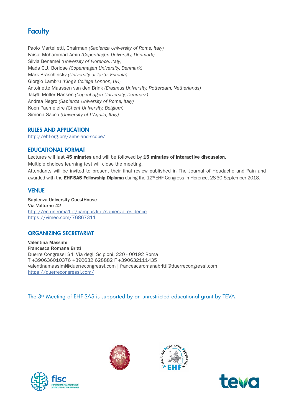# **Faculty**

Paolo Martelletti, Chairman *(Sapienza University of Rome, Italy)* Faisal Mohammad Amin *(Copenhagen University, Denmark)*  Silvia Benemei *(University of Florence, Italy)* Mads C.J. Borløse *(Copenhagen University, Denmark)* Mark Braschinsk*y (University of Tartu, Estonia)*  Giorgio Lambru *(King's College London, UK)*  Antoinette Maassen van den Brink *(Erasmus University, Rotterdam, Netherlands)* Jakøb Moller Hansen *(Copenhagen University, Denmark)*  Andrea Negro *(Sapienza University of Rome, Italy)* Koen Paemeleire *(Ghent University, Belgium)* Simona Sacco *(University of L'Aquila, Italy)*

### RULES AND APPLICATION

<http://ehf-org.org/aims-and-scope/>

### EDUCATIONAL FORMAT

Lectures will last 45 minutes and will be followed by 15 minutes of interactive discussion. Multiple choices learning test will close the meeting.

Attendants will be invited to present their final review published in The Journal of Headache and Pain and awarded with the EHF-SAS Fellowship Diploma during the 12<sup>th</sup> EHF Congress in Florence, 28-30 September 2018.

# VENUE

Sapienza University GuestHouse Via Volturno 42 <http://en.uniroma1.it/campus-life/sapienza-residence> <https://vimeo.com/76867311>

# ORGANIZING SECRETARIAT

Valentina Massimi Francesca Romana Britti Duerre Congressi Srl, Via degli Scipioni, 220 - 00192 Roma T +390636010376 +390632 628882 F +390632111435 valentinamassimi@duerrecongressi.com | francescaromanabritti@duerrecongressi.com <https://duerrecongressi.com/>

The 3<sup>rd</sup> Meeting of EHF-SAS is supported by an unrestricted educational grant by TEVA.







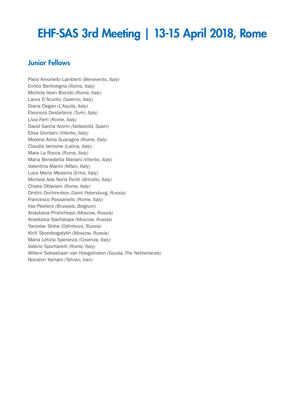# EHF-SAS 3rd Meeting | 13-15 April 2018, Rome

# Junior Fellows

Piera Amoriello Lamberti *(Benevento, Italy)* Enrico Bentivegna *(Rome, Italy)* Michela Ileen Biondo *(Rome, Italy)* Laura D'Acunto *(Salerno, Italy)* Diana Degan *(L'Aquila, Italy)* Eleonora Destefanis *(Turin, Italy)* Livia Ferri *(Rome, Italy)* David Garcìa Azorìn *(Valladolid, Spain)* Elisa Giordani *(Viterbo, Italy)* Morena Anna Guaragna *(Rome, Italy)* Claudia Iannone *(Latina, Italy)* Mara La Rocca *(Rome, Italy)* Maria Benedetta Mariani *(Viterbo, Italy)* Valentina Marini *(Milan, Italy)* Luca Maria Messina *(Erice, Italy)* Michela Ada Noris Ferilli *(Brindisi, Italy)* Chiara Ottaviani *(Rome, Italy)* Dmitrii Ovchinnikov *(Saint Petersburg, Russia)* Francesco Passariello *(Rome, Italy)* Ilse Peeters *(Brussels, Belgium)*  Anastasia Prishchepa *(Moscow, Russia)* Anastasia Savitskaya *(Moscow, Russia)* Yaroslav Skiba *(Odintsovo, Russia)* Kirill Skorobogatykh *(Moscow, Russia)* Maria Letizia Speranza *(Cosenza, Italy)* Valerio Spuntarelli *(Rome, Italy)* Willem Sebastiaan van Hoogstraten *(Gouda, The Netherlands)* Nooshin Yamani *(Tehran, Iran)*